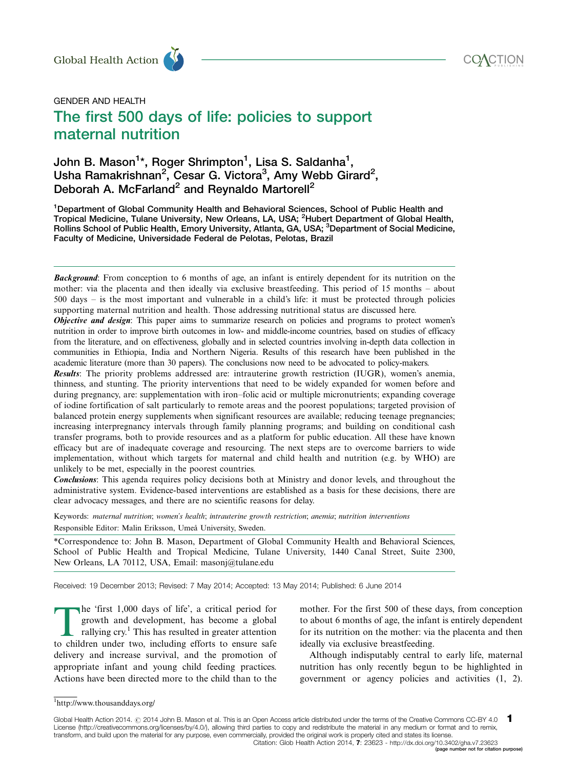

### GENDER AND HEALTH

# The first 500 days of life: policies to support maternal nutrition Global Health Action<br>GENDER AND HEALTH<br>The first 500 days of life: policies to support

# John B. Mason<sup>1</sup>\*, Roger Shrimpton<sup>1</sup>, Lisa S. Saldanha<sup>1</sup>, Usha Ramakrishnan<sup>2</sup>, Cesar G. Victora<sup>3</sup>, Amy Webb Girard<sup>2</sup>, Deborah A. McFarland<sup>2</sup> and Reynaldo Martorell<sup>2</sup>

<sup>1</sup>Department of Global Community Health and Behavioral Sciences, School of Public Health and Tropical Medicine, Tulane University, New Orleans, LA, USA; <sup>2</sup>Hubert Department of Global Health, Rollins School of Public Health, Emory University, Atlanta, GA, USA; <sup>3</sup>Department of Social Medicine, Faculty of Medicine, Universidade Federal de Pelotas, Pelotas, Brazil

Background: From conception to 6 months of age, an infant is entirely dependent for its nutrition on the mother: via the placenta and then ideally via exclusive breastfeeding. This period of 15 months – about 500 days - is the most important and vulnerable in a child's life: it must be protected through policies supporting maternal nutrition and health. Those addressing nutritional status are discussed here.

**Objective and design:** This paper aims to summarize research on policies and programs to protect women's nutrition in order to improve birth outcomes in low- and middle-income countries, based on studies of efficacy from the literature, and on effectiveness, globally and in selected countries involving in-depth data collection in communities in Ethiopia, India and Northern Nigeria. Results of this research have been published in the academic literature (more than 30 papers). The conclusions now need to be advocated to policy-makers.

Results: The priority problems addressed are: intrauterine growth restriction (IUGR), women's anemia, thinness, and stunting. The priority interventions that need to be widely expanded for women before and during pregnancy, are: supplementation with iron-folic acid or multiple micronutrients; expanding coverage of iodine fortification of salt particularly to remote areas and the poorest populations; targeted provision of balanced protein energy supplements when significant resources are available; reducing teenage pregnancies; increasing interpregnancy intervals through family planning programs; and building on conditional cash transfer programs, both to provide resources and as a platform for public education. All these have known efficacy but are of inadequate coverage and resourcing. The next steps are to overcome barriers to wide implementation, without which targets for maternal and child health and nutrition (e.g. by WHO) are unlikely to be met, especially in the poorest countries.

Conclusions: This agenda requires policy decisions both at Ministry and donor levels, and throughout the administrative system. Evidence-based interventions are established as a basis for these decisions, there are clear advocacy messages, and there are no scientific reasons for delay.

Keywords: maternal nutrition; women's health; intrauterine growth restriction; anemia; nutrition interventions Responsible Editor: Malin Eriksson, Umeå University, Sweden.

\*Correspondence to: John B. Mason, Department of Global Community Health and Behavioral Sciences, School of Public Health and Tropical Medicine, Tulane University, 1440 Canal Street, Suite 2300, New Orleans, LA 70112, USA, Email: masonj@tulane.edu

Received: 19 December 2013; Revised: 7 May 2014; Accepted: 13 May 2014; Published: 6 June 2014

The 'first 1,000 days of life', a critical period for<br>growth and development, has become a global<br>rallying cry.<sup>1</sup> This has resulted in greater attention<br>to children under two including efforts to ensure safe growth and development, has become a global rallying  $\text{cry}$ .<sup>1</sup> This has resulted in greater attention to children under two, including efforts to ensure safe delivery and increase survival, and the promotion of appropriate infant and young child feeding practices. Actions have been directed more to the child than to the mother. For the first 500 of these days, from conception to about 6 months of age, the infant is entirely dependent for its nutrition on the mother: via the placenta and then ideally via exclusive breastfeeding.

Although indisputably central to early life, maternal nutrition has only recently begun to be highlighted in government or agency policies and activities (1, 2).

<sup>1</sup> <http://www.thousanddays.org/>

Global Health Action 2014. @ 2014 John B. Mason et al. This is an Open Access article distributed under the terms of the Creative Commons CC-BY 4.0 License (http://creativecommons.org/licenses/by/4.0/), allowing third parties to copy and redistribute the material in any medium or format and to remix, transform, and build upon the material for any purpose, even commercially, provided the original work is properly cited and states its license. 1 [Citation: Glob Health Action 2014,](http://www.globalhealthaction.net/index.php/gha/article/view/23623) 7: 23623 - <http://dx.doi.org/10.3402/gha.v7.23623> (page number not for citation purpose)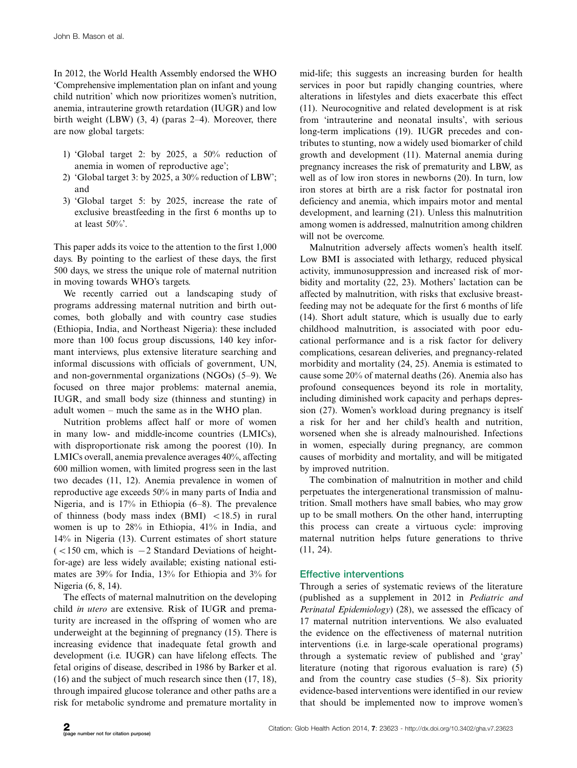In 2012, the World Health Assembly endorsed the WHO 'Comprehensive implementation plan on infant and young child nutrition' which now prioritizes women's nutrition, anemia, intrauterine growth retardation (IUGR) and low birth weight (LBW) (3, 4) (paras 2-4). Moreover, there are now global targets:

- 1) 'Global target 2: by 2025, a 50% reduction of anemia in women of reproductive age';
- 2) 'Global target 3: by 2025, a 30% reduction of LBW'; and
- 3) 'Global target 5: by 2025, increase the rate of exclusive breastfeeding in the first 6 months up to at least 50%'.

This paper adds its voice to the attention to the first 1,000 days. By pointing to the earliest of these days, the first 500 days, we stress the unique role of maternal nutrition in moving towards WHO's targets.

We recently carried out a landscaping study of programs addressing maternal nutrition and birth outcomes, both globally and with country case studies (Ethiopia, India, and Northeast Nigeria): these included more than 100 focus group discussions, 140 key informant interviews, plus extensive literature searching and informal discussions with officials of government, UN, and non-governmental organizations (NGOs) (5-9). We focused on three major problems: maternal anemia, IUGR, and small body size (thinness and stunting) in adult women - much the same as in the WHO plan.

Nutrition problems affect half or more of women in many low- and middle-income countries (LMICs), with disproportionate risk among the poorest (10). In LMICs overall, anemia prevalence averages 40%, affecting 600 million women, with limited progress seen in the last two decades (11, 12). Anemia prevalence in women of reproductive age exceeds 50% in many parts of India and Nigeria, and is 17% in Ethiopia (6-8). The prevalence of thinness (body mass index  $(BMI) < 18.5$ ) in rural women is up to 28% in Ethiopia, 41% in India, and 14% in Nigeria (13). Current estimates of short stature  $\zeta$  <150 cm, which is  $-2$  Standard Deviations of heightfor-age) are less widely available; existing national estimates are 39% for India, 13% for Ethiopia and 3% for Nigeria (6, 8, 14).

The effects of maternal malnutrition on the developing child in utero are extensive. Risk of IUGR and prematurity are increased in the offspring of women who are underweight at the beginning of pregnancy (15). There is increasing evidence that inadequate fetal growth and development (i.e. IUGR) can have lifelong effects. The fetal origins of disease, described in 1986 by Barker et al. (16) and the subject of much research since then (17, 18), through impaired glucose tolerance and other paths are a risk for metabolic syndrome and premature mortality in

mid-life; this suggests an increasing burden for health services in poor but rapidly changing countries, where alterations in lifestyles and diets exacerbate this effect (11). Neurocognitive and related development is at risk from 'intrauterine and neonatal insults', with serious long-term implications (19). IUGR precedes and contributes to stunting, now a widely used biomarker of child growth and development (11). Maternal anemia during pregnancy increases the risk of prematurity and LBW, as well as of low iron stores in newborns (20). In turn, low iron stores at birth are a risk factor for postnatal iron deficiency and anemia, which impairs motor and mental development, and learning (21). Unless this malnutrition among women is addressed, malnutrition among children will not be overcome.

Malnutrition adversely affects women's health itself. Low BMI is associated with lethargy, reduced physical activity, immunosuppression and increased risk of morbidity and mortality (22, 23). Mothers' lactation can be affected by malnutrition, with risks that exclusive breastfeeding may not be adequate for the first 6 months of life (14). Short adult stature, which is usually due to early childhood malnutrition, is associated with poor educational performance and is a risk factor for delivery complications, cesarean deliveries, and pregnancy-related morbidity and mortality (24, 25). Anemia is estimated to cause some 20% of maternal deaths (26). Anemia also has profound consequences beyond its role in mortality, including diminished work capacity and perhaps depression (27). Women's workload during pregnancy is itself a risk for her and her child's health and nutrition, worsened when she is already malnourished. Infections in women, especially during pregnancy, are common causes of morbidity and mortality, and will be mitigated by improved nutrition.

The combination of malnutrition in mother and child perpetuates the intergenerational transmission of malnutrition. Small mothers have small babies, who may grow up to be small mothers. On the other hand, interrupting this process can create a virtuous cycle: improving maternal nutrition helps future generations to thrive (11, 24).

### Effective interventions

Through a series of systematic reviews of the literature (published as a supplement in 2012 in Pediatric and Perinatal Epidemiology) (28), we assessed the efficacy of 17 maternal nutrition interventions. We also evaluated the evidence on the effectiveness of maternal nutrition interventions (i.e. in large-scale operational programs) through a systematic review of published and 'gray' literature (noting that rigorous evaluation is rare) (5) and from the country case studies (5-8). Six priority evidence-based interventions were identified in our review that should be implemented now to improve women's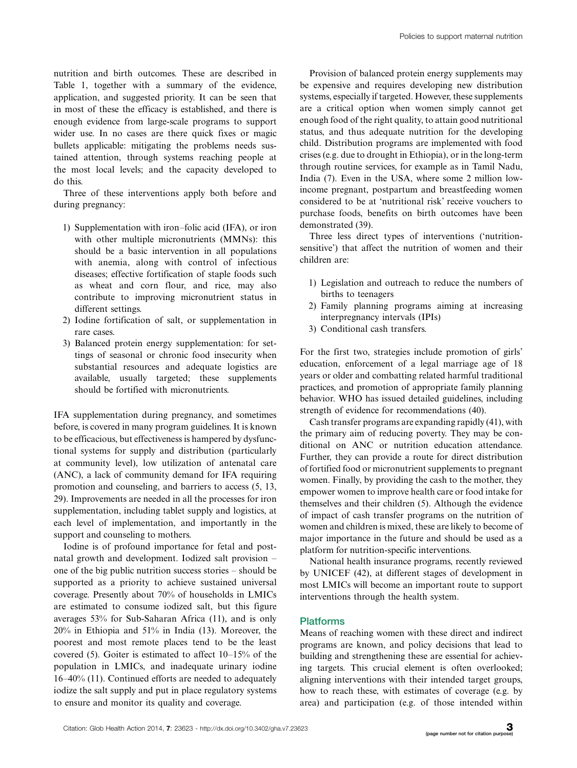nutrition and birth outcomes. These are described in Table 1, together with a summary of the evidence, application, and suggested priority. It can be seen that in most of these the efficacy is established, and there is enough evidence from large-scale programs to support wider use. In no cases are there quick fixes or magic bullets applicable: mitigating the problems needs sustained attention, through systems reaching people at the most local levels; and the capacity developed to do this.

Three of these interventions apply both before and during pregnancy:

- 1) Supplementation with iron-folic acid (IFA), or iron with other multiple micronutrients (MMNs): this should be a basic intervention in all populations with anemia, along with control of infectious diseases; effective fortification of staple foods such as wheat and corn flour, and rice, may also contribute to improving micronutrient status in different settings.
- 2) Iodine fortification of salt, or supplementation in rare cases.
- 3) Balanced protein energy supplementation: for settings of seasonal or chronic food insecurity when substantial resources and adequate logistics are available, usually targeted; these supplements should be fortified with micronutrients.

IFA supplementation during pregnancy, and sometimes before, is covered in many program guidelines. It is known to be efficacious, but effectiveness is hampered by dysfunctional systems for supply and distribution (particularly at community level), low utilization of antenatal care (ANC), a lack of community demand for IFA requiring promotion and counseling, and barriers to access (5, 13, 29). Improvements are needed in all the processes for iron supplementation, including tablet supply and logistics, at each level of implementation, and importantly in the support and counseling to mothers.

Iodine is of profound importance for fetal and postnatal growth and development. Iodized salt provision one of the big public nutrition success stories - should be supported as a priority to achieve sustained universal coverage. Presently about 70% of households in LMICs are estimated to consume iodized salt, but this figure averages 53% for Sub-Saharan Africa (11), and is only 20% in Ethiopia and 51% in India (13). Moreover, the poorest and most remote places tend to be the least covered (5). Goiter is estimated to affect 10-15% of the population in LMICs, and inadequate urinary iodine 16-40% (11). Continued efforts are needed to adequately iodize the salt supply and put in place regulatory systems to ensure and monitor its quality and coverage.

Provision of balanced protein energy supplements may be expensive and requires developing new distribution systems, especially if targeted. However, these supplements are a critical option when women simply cannot get enough food of the right quality, to attain good nutritional status, and thus adequate nutrition for the developing child. Distribution programs are implemented with food crises (e.g. due to drought in Ethiopia), or in the long-term through routine services, for example as in Tamil Nadu, India (7). Even in the USA, where some 2 million lowincome pregnant, postpartum and breastfeeding women considered to be at 'nutritional risk' receive vouchers to purchase foods, benefits on birth outcomes have been demonstrated (39).

Three less direct types of interventions ('nutritionsensitive') that affect the nutrition of women and their children are:

- 1) Legislation and outreach to reduce the numbers of births to teenagers
- 2) Family planning programs aiming at increasing interpregnancy intervals (IPIs)
- 3) Conditional cash transfers.

For the first two, strategies include promotion of girls' education, enforcement of a legal marriage age of 18 years or older and combatting related harmful traditional practices, and promotion of appropriate family planning behavior. WHO has issued detailed guidelines, including strength of evidence for recommendations (40).

Cash transfer programs are expanding rapidly (41), with the primary aim of reducing poverty. They may be conditional on ANC or nutrition education attendance. Further, they can provide a route for direct distribution of fortified food or micronutrient supplements to pregnant women. Finally, by providing the cash to the mother, they empower women to improve health care or food intake for themselves and their children (5). Although the evidence of impact of cash transfer programs on the nutrition of women and children is mixed, these are likely to become of major importance in the future and should be used as a platform for nutrition-specific interventions.

National health insurance programs, recently reviewed by UNICEF (42), at different stages of development in most LMICs will become an important route to support interventions through the health system.

### Platforms

Means of reaching women with these direct and indirect programs are known, and policy decisions that lead to building and strengthening these are essential for achieving targets. This crucial element is often overlooked; aligning interventions with their intended target groups, how to reach these, with estimates of coverage (e.g. by area) and participation (e.g. of those intended within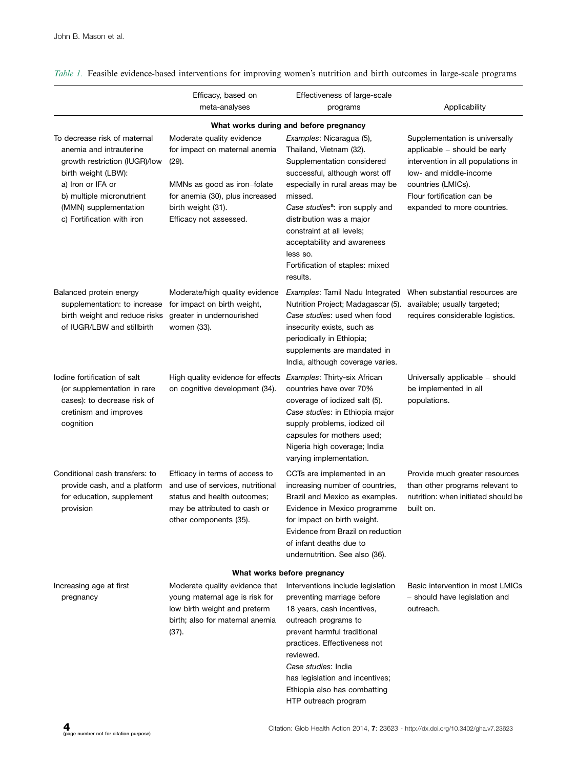|                                                                                                                                                                                                                          | Efficacy, based on<br>meta-analyses                                                                                                                                                      | Effectiveness of large-scale<br>programs                                                                                                                                                                                                                                                                                                                                    | Applicability                                                                                                                                                                                                       |
|--------------------------------------------------------------------------------------------------------------------------------------------------------------------------------------------------------------------------|------------------------------------------------------------------------------------------------------------------------------------------------------------------------------------------|-----------------------------------------------------------------------------------------------------------------------------------------------------------------------------------------------------------------------------------------------------------------------------------------------------------------------------------------------------------------------------|---------------------------------------------------------------------------------------------------------------------------------------------------------------------------------------------------------------------|
|                                                                                                                                                                                                                          |                                                                                                                                                                                          | What works during and before pregnancy                                                                                                                                                                                                                                                                                                                                      |                                                                                                                                                                                                                     |
| To decrease risk of maternal<br>anemia and intrauterine<br>growth restriction (IUGR)/low<br>birth weight (LBW):<br>a) Iron or IFA or<br>b) multiple micronutrient<br>(MMN) supplementation<br>c) Fortification with iron | Moderate quality evidence<br>for impact on maternal anemia<br>$(29)$ .<br>MMNs as good as iron-folate<br>for anemia (30), plus increased<br>birth weight (31).<br>Efficacy not assessed. | <i>Examples:</i> Nicaragua (5),<br>Thailand, Vietnam (32).<br>Supplementation considered<br>successful, although worst off<br>especially in rural areas may be<br>missed.<br>Case studies <sup>a</sup> : iron supply and<br>distribution was a major<br>constraint at all levels;<br>acceptability and awareness<br>less so.<br>Fortification of staples: mixed<br>results. | Supplementation is universally<br>applicable $-$ should be early<br>intervention in all populations in<br>low- and middle-income<br>countries (LMICs).<br>Flour fortification can be<br>expanded to more countries. |
| Balanced protein energy<br>supplementation: to increase<br>birth weight and reduce risks<br>of IUGR/LBW and stillbirth                                                                                                   | Moderate/high quality evidence<br>for impact on birth weight,<br>greater in undernourished<br>women (33).                                                                                | <i>Examples:</i> Tamil Nadu Integrated<br>Nutrition Project; Madagascar (5).<br>Case studies: used when food<br>insecurity exists, such as<br>periodically in Ethiopia;<br>supplements are mandated in<br>India, although coverage varies.                                                                                                                                  | When substantial resources are<br>available; usually targeted;<br>requires considerable logistics.                                                                                                                  |
| lodine fortification of salt<br>(or supplementation in rare<br>cases): to decrease risk of<br>cretinism and improves<br>cognition                                                                                        | High quality evidence for effects<br>on cognitive development (34).                                                                                                                      | Examples: Thirty-six African<br>countries have over 70%<br>coverage of iodized salt (5).<br>Case studies: in Ethiopia major<br>supply problems, iodized oil<br>capsules for mothers used;<br>Nigeria high coverage; India<br>varying implementation.                                                                                                                        | Universally applicable - should<br>be implemented in all<br>populations.                                                                                                                                            |
| Conditional cash transfers: to<br>provide cash, and a platform<br>for education, supplement<br>provision                                                                                                                 | Efficacy in terms of access to<br>and use of services, nutritional<br>status and health outcomes;<br>may be attributed to cash or<br>other components (35).                              | CCTs are implemented in an<br>increasing number of countries,<br>Brazil and Mexico as examples.<br>Evidence in Mexico programme<br>for impact on birth weight.<br>Evidence from Brazil on reduction<br>of infant deaths due to<br>undernutrition. See also (36).                                                                                                            | Provide much greater resources<br>than other programs relevant to<br>nutrition: when initiated should be<br>built on.                                                                                               |
|                                                                                                                                                                                                                          |                                                                                                                                                                                          | What works before pregnancy                                                                                                                                                                                                                                                                                                                                                 |                                                                                                                                                                                                                     |
| Increasing age at first<br>pregnancy                                                                                                                                                                                     | Moderate quality evidence that<br>young maternal age is risk for<br>low birth weight and preterm<br>birth; also for maternal anemia<br>$(37)$ .                                          | Interventions include legislation<br>preventing marriage before<br>18 years, cash incentives,<br>outreach programs to<br>prevent harmful traditional<br>practices. Effectiveness not<br>reviewed.<br>Case studies: India<br>has legislation and incentives;<br>Ethiopia also has combatting                                                                                 | Basic intervention in most LMICs<br>- should have legislation and<br>outreach.                                                                                                                                      |

Table 1. Feasible evidence-based interventions for improving women's nutrition and birth outcomes in large-scale programs

HTP outreach program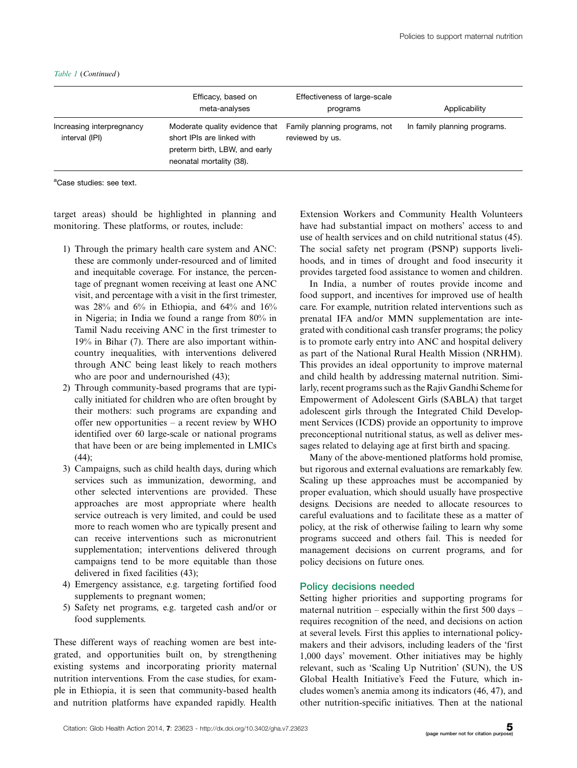|                                             | Efficacy, based on<br>meta-analyses                                                                                       | Effectiveness of large-scale<br>programs         | Applicability                |
|---------------------------------------------|---------------------------------------------------------------------------------------------------------------------------|--------------------------------------------------|------------------------------|
| Increasing interpregnancy<br>interval (IPI) | Moderate quality evidence that<br>short IPIs are linked with<br>preterm birth, LBW, and early<br>neonatal mortality (38). | Family planning programs, not<br>reviewed by us. | In family planning programs. |

Table 1 (Continued )

<sup>a</sup>Case studies: see text.

target areas) should be highlighted in planning and monitoring. These platforms, or routes, include:

- 1) Through the primary health care system and ANC: these are commonly under-resourced and of limited and inequitable coverage. For instance, the percentage of pregnant women receiving at least one ANC visit, and percentage with a visit in the first trimester, was  $28\%$  and  $6\%$  in Ethiopia, and  $64\%$  and  $16\%$ in Nigeria; in India we found a range from 80% in Tamil Nadu receiving ANC in the first trimester to 19% in Bihar (7). There are also important withincountry inequalities, with interventions delivered through ANC being least likely to reach mothers who are poor and undernourished (43);
- 2) Through community-based programs that are typically initiated for children who are often brought by their mothers: such programs are expanding and offer new opportunities - a recent review by WHO identified over 60 large-scale or national programs that have been or are being implemented in LMICs (44);
- 3) Campaigns, such as child health days, during which services such as immunization, deworming, and other selected interventions are provided. These approaches are most appropriate where health service outreach is very limited, and could be used more to reach women who are typically present and can receive interventions such as micronutrient supplementation; interventions delivered through campaigns tend to be more equitable than those delivered in fixed facilities (43);
- 4) Emergency assistance, e.g. targeting fortified food supplements to pregnant women;
- 5) Safety net programs, e.g. targeted cash and/or or food supplements.

These different ways of reaching women are best integrated, and opportunities built on, by strengthening existing systems and incorporating priority maternal nutrition interventions. From the case studies, for example in Ethiopia, it is seen that community-based health and nutrition platforms have expanded rapidly. Health Extension Workers and Community Health Volunteers have had substantial impact on mothers' access to and use of health services and on child nutritional status (45). The social safety net program (PSNP) supports livelihoods, and in times of drought and food insecurity it provides targeted food assistance to women and children.

In India, a number of routes provide income and food support, and incentives for improved use of health care. For example, nutrition related interventions such as prenatal IFA and/or MMN supplementation are integrated with conditional cash transfer programs; the policy is to promote early entry into ANC and hospital delivery as part of the National Rural Health Mission (NRHM). This provides an ideal opportunity to improve maternal and child health by addressing maternal nutrition. Similarly, recent programs such as the Rajiv Gandhi Scheme for Empowerment of Adolescent Girls (SABLA) that target adolescent girls through the Integrated Child Development Services (ICDS) provide an opportunity to improve preconceptional nutritional status, as well as deliver messages related to delaying age at first birth and spacing.

Many of the above-mentioned platforms hold promise, but rigorous and external evaluations are remarkably few. Scaling up these approaches must be accompanied by proper evaluation, which should usually have prospective designs. Decisions are needed to allocate resources to careful evaluations and to facilitate these as a matter of policy, at the risk of otherwise failing to learn why some programs succeed and others fail. This is needed for management decisions on current programs, and for policy decisions on future ones.

# Policy decisions needed

Setting higher priorities and supporting programs for maternal nutrition – especially within the first 500 days – requires recognition of the need, and decisions on action at several levels. First this applies to international policymakers and their advisors, including leaders of the 'first 1,000 days' movement. Other initiatives may be highly relevant, such as 'Scaling Up Nutrition' (SUN), the US Global Health Initiative's Feed the Future, which includes women's anemia among its indicators (46, 47), and other nutrition-specific initiatives. Then at the national

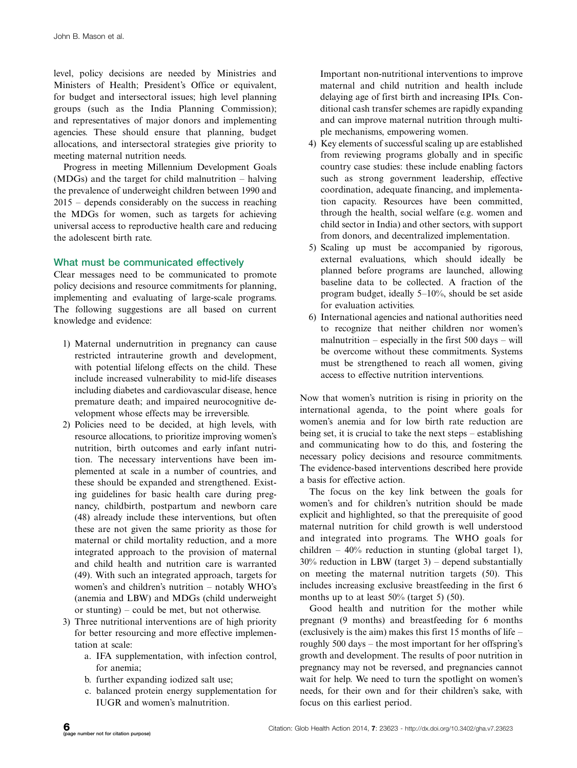level, policy decisions are needed by Ministries and Ministers of Health; President's Office or equivalent, for budget and intersectoral issues; high level planning groups (such as the India Planning Commission); and representatives of major donors and implementing agencies. These should ensure that planning, budget allocations, and intersectoral strategies give priority to meeting maternal nutrition needs.

Progress in meeting Millennium Development Goals (MDGs) and the target for child malnutrition – halving the prevalence of underweight children between 1990 and 2015 - depends considerably on the success in reaching the MDGs for women, such as targets for achieving universal access to reproductive health care and reducing the adolescent birth rate.

### What must be communicated effectively

Clear messages need to be communicated to promote policy decisions and resource commitments for planning, implementing and evaluating of large-scale programs. The following suggestions are all based on current knowledge and evidence:

- 1) Maternal undernutrition in pregnancy can cause restricted intrauterine growth and development, with potential lifelong effects on the child. These include increased vulnerability to mid-life diseases including diabetes and cardiovascular disease, hence premature death; and impaired neurocognitive development whose effects may be irreversible.
- 2) Policies need to be decided, at high levels, with resource allocations, to prioritize improving women's nutrition, birth outcomes and early infant nutrition. The necessary interventions have been implemented at scale in a number of countries, and these should be expanded and strengthened. Existing guidelines for basic health care during pregnancy, childbirth, postpartum and newborn care (48) already include these interventions, but often these are not given the same priority as those for maternal or child mortality reduction, and a more integrated approach to the provision of maternal and child health and nutrition care is warranted (49). With such an integrated approach, targets for women's and children's nutrition - notably WHO's (anemia and LBW) and MDGs (child underweight or stunting) - could be met, but not otherwise.
- 3) Three nutritional interventions are of high priority for better resourcing and more effective implementation at scale:
	- a. IFA supplementation, with infection control, for anemia;
	- b. further expanding iodized salt use;
	- c. balanced protein energy supplementation for IUGR and women's malnutrition.

Important non-nutritional interventions to improve maternal and child nutrition and health include delaying age of first birth and increasing IPIs. Conditional cash transfer schemes are rapidly expanding and can improve maternal nutrition through multiple mechanisms, empowering women.

- 4) Key elements of successful scaling up are established from reviewing programs globally and in specific country case studies: these include enabling factors such as strong government leadership, effective coordination, adequate financing, and implementation capacity. Resources have been committed, through the health, social welfare (e.g. women and child sector in India) and other sectors, with support from donors, and decentralized implementation.
- 5) Scaling up must be accompanied by rigorous, external evaluations, which should ideally be planned before programs are launched, allowing baseline data to be collected. A fraction of the program budget, ideally 5-10%, should be set aside for evaluation activities.
- 6) International agencies and national authorities need to recognize that neither children nor women's malnutrition - especially in the first 500 days - will be overcome without these commitments. Systems must be strengthened to reach all women, giving access to effective nutrition interventions.

Now that women's nutrition is rising in priority on the international agenda, to the point where goals for women's anemia and for low birth rate reduction are being set, it is crucial to take the next steps – establishing and communicating how to do this, and fostering the necessary policy decisions and resource commitments. The evidence-based interventions described here provide a basis for effective action.

The focus on the key link between the goals for women's and for children's nutrition should be made explicit and highlighted, so that the prerequisite of good maternal nutrition for child growth is well understood and integrated into programs. The WHO goals for children - 40% reduction in stunting (global target 1),  $30\%$  reduction in LBW (target 3) – depend substantially on meeting the maternal nutrition targets (50). This includes increasing exclusive breastfeeding in the first 6 months up to at least 50% (target 5) (50).

Good health and nutrition for the mother while pregnant (9 months) and breastfeeding for 6 months (exclusively is the aim) makes this first  $15$  months of life  $$ roughly 500 days - the most important for her offspring's growth and development. The results of poor nutrition in pregnancy may not be reversed, and pregnancies cannot wait for help. We need to turn the spotlight on women's needs, for their own and for their children's sake, with focus on this earliest period.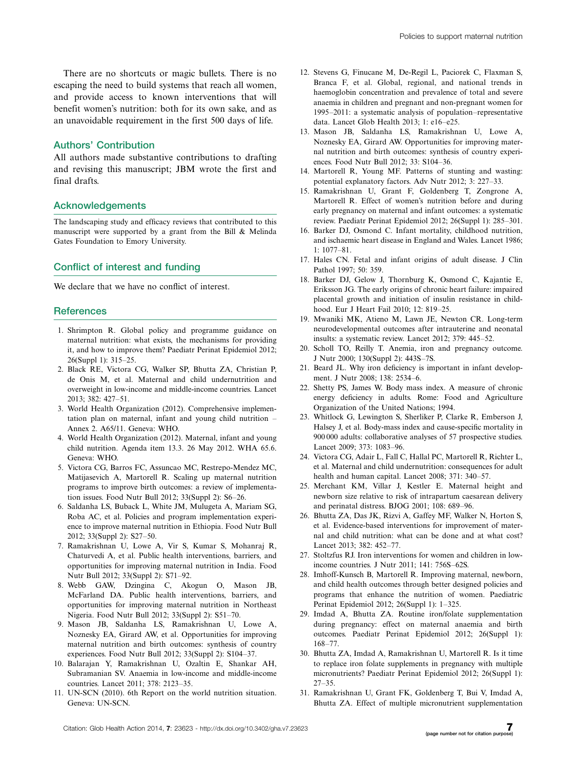There are no shortcuts or magic bullets. There is no escaping the need to build systems that reach all women, and provide access to known interventions that will benefit women's nutrition: both for its own sake, and as an unavoidable requirement in the first 500 days of life.

## Authors' Contribution

All authors made substantive contributions to drafting and revising this manuscript; JBM wrote the first and final drafts.

### Acknowledgements

The landscaping study and efficacy reviews that contributed to this manuscript were supported by a grant from the Bill & Melinda Gates Foundation to Emory University.

### Conflict of interest and funding

We declare that we have no conflict of interest.

### **References**

- 1. Shrimpton R. Global policy and programme guidance on maternal nutrition: what exists, the mechanisms for providing it, and how to improve them? Paediatr Perinat Epidemiol 2012; 26(Suppl 1): 315-25.
- 2. Black RE, Victora CG, Walker SP, Bhutta ZA, Christian P, de Onis M, et al. Maternal and child undernutrition and overweight in low-income and middle-income countries. Lancet 2013; 382: 427-51.
- 3. World Health Organization (2012). Comprehensive implementation plan on maternal, infant and young child nutrition - Annex 2. A65/11. Geneva: WHO.
- 4. World Health Organization (2012). Maternal, infant and young child nutrition. Agenda item 13.3. 26 May 2012. WHA 65.6. Geneva: WHO.
- 5. Victora CG, Barros FC, Assuncao MC, Restrepo-Mendez MC, Matijasevich A, Martorell R. Scaling up maternal nutrition programs to improve birth outcomes: a review of implementation issues. Food Nutr Bull 2012; 33(Suppl 2): S6-26.
- 6. Saldanha LS, Buback L, White JM, Mulugeta A, Mariam SG, Roba AC, et al. Policies and program implementation experience to improve maternal nutrition in Ethiopia. Food Nutr Bull 2012; 33(Suppl 2): S27-50.
- 7. Ramakrishnan U, Lowe A, Vir S, Kumar S, Mohanraj R, Chaturvedi A, et al. Public health interventions, barriers, and opportunities for improving maternal nutrition in India. Food Nutr Bull 2012; 33(Suppl 2): S71-92.
- 8. Webb GAW, Dzingina C, Akogun O, Mason JB, McFarland DA. Public health interventions, barriers, and opportunities for improving maternal nutrition in Northeast Nigeria. Food Nutr Bull 2012; 33(Suppl 2): S51-70.
- 9. Mason JB, Saldanha LS, Ramakrishnan U, Lowe A, Noznesky EA, Girard AW, et al. Opportunities for improving maternal nutrition and birth outcomes: synthesis of country experiences. Food Nutr Bull 2012; 33(Suppl 2): S104-37.
- 10. Balarajan Y, Ramakrishnan U, Ozaltin E, Shankar AH, Subramanian SV. Anaemia in low-income and middle-income countries. Lancet 2011; 378: 2123-35.
- 11. UN-SCN (2010). 6th Report on the world nutrition situation. Geneva: UN-SCN.
- 12. Stevens G, Finucane M, De-Regil L, Paciorek C, Flaxman S, Branca F, et al. Global, regional, and national trends in haemoglobin concentration and prevalence of total and severe anaemia in children and pregnant and non-pregnant women for 1995-2011: a systematic analysis of population-representative data. Lancet Glob Health 2013; 1: e16-e25.
- 13. Mason JB, Saldanha LS, Ramakrishnan U, Lowe A, Noznesky EA, Girard AW. Opportunities for improving maternal nutrition and birth outcomes: synthesis of country experiences. Food Nutr Bull 2012; 33: S104-36.
- 14. Martorell R, Young MF. Patterns of stunting and wasting: potential explanatory factors. Adv Nutr 2012; 3: 227-33.
- 15. Ramakrishnan U, Grant F, Goldenberg T, Zongrone A, Martorell R. Effect of women's nutrition before and during early pregnancy on maternal and infant outcomes: a systematic review. Paediatr Perinat Epidemiol 2012; 26(Suppl 1): 285-301.
- 16. Barker DJ, Osmond C. Infant mortality, childhood nutrition, and ischaemic heart disease in England and Wales. Lancet 1986; 1: 1077-81.
- 17. Hales CN. Fetal and infant origins of adult disease. J Clin Pathol 1997; 50: 359.
- 18. Barker DJ, Gelow J, Thornburg K, Osmond C, Kajantie E, Eriksson JG. The early origins of chronic heart failure: impaired placental growth and initiation of insulin resistance in childhood. Eur J Heart Fail 2010; 12: 819-25.
- 19. Mwaniki MK, Atieno M, Lawn JE, Newton CR. Long-term neurodevelopmental outcomes after intrauterine and neonatal insults: a systematic review. Lancet 2012; 379: 445-52.
- 20. Scholl TO, Reilly T. Anemia, iron and pregnancy outcome. J Nutr 2000; 130(Suppl 2): 443S-7S.
- 21. Beard JL. Why iron deficiency is important in infant development. J Nutr 2008; 138: 2534-6.
- 22. Shetty PS, James W. Body mass index. A measure of chronic energy deficiency in adults. Rome: Food and Agriculture Organization of the United Nations; 1994.
- 23. Whitlock G, Lewington S, Sherliker P, Clarke R, Emberson J, Halsey J, et al. Body-mass index and cause-specific mortality in 900 000 adults: collaborative analyses of 57 prospective studies. Lancet 2009; 373: 1083-96.
- 24. Victora CG, Adair L, Fall C, Hallal PC, Martorell R, Richter L, et al. Maternal and child undernutrition: consequences for adult health and human capital. Lancet 2008; 371: 340-57.
- 25. Merchant KM, Villar J, Kestler E. Maternal height and newborn size relative to risk of intrapartum caesarean delivery and perinatal distress. BJOG 2001; 108: 689-96.
- 26. Bhutta ZA, Das JK, Rizvi A, Gaffey MF, Walker N, Horton S, et al. Evidence-based interventions for improvement of maternal and child nutrition: what can be done and at what cost? Lancet 2013; 382: 452-77.
- 27. Stoltzfus RJ. Iron interventions for women and children in lowincome countries. J Nutr 2011; 141: 756S-62S.
- 28. Imhoff-Kunsch B, Martorell R. Improving maternal, newborn, and child health outcomes through better designed policies and programs that enhance the nutrition of women. Paediatric Perinat Epidemiol 2012; 26(Suppl 1): 1-325.
- 29. Imdad A, Bhutta ZA. Routine iron/folate supplementation during pregnancy: effect on maternal anaemia and birth outcomes. Paediatr Perinat Epidemiol 2012; 26(Suppl 1): 168-77.
- 30. Bhutta ZA, Imdad A, Ramakrishnan U, Martorell R. Is it time to replace iron folate supplements in pregnancy with multiple micronutrients? Paediatr Perinat Epidemiol 2012; 26(Suppl 1): 27-35.
- 31. Ramakrishnan U, Grant FK, Goldenberg T, Bui V, Imdad A, Bhutta ZA. Effect of multiple micronutrient supplementation